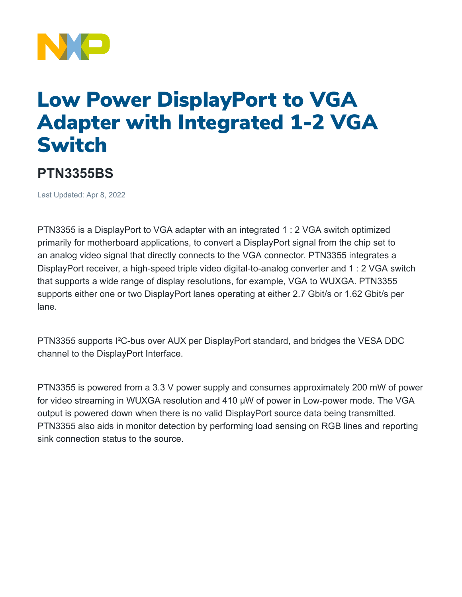

## Low Power DisplayPort to VGA Adapter with Integrated 1-2 VGA Switch

## **PTN3355BS**

Last Updated: Apr 8, 2022

PTN3355 is a DisplayPort to VGA adapter with an integrated 1 : 2 VGA switch optimized primarily for motherboard applications, to convert a DisplayPort signal from the chip set to an analog video signal that directly connects to the VGA connector. PTN3355 integrates a DisplayPort receiver, a high-speed triple video digital-to-analog converter and 1 : 2 VGA switch that supports a wide range of display resolutions, for example, VGA to WUXGA. PTN3355 supports either one or two DisplayPort lanes operating at either 2.7 Gbit/s or 1.62 Gbit/s per lane.

PTN3355 supports I²C-bus over AUX per DisplayPort standard, and bridges the VESA DDC channel to the DisplayPort Interface.

PTN3355 is powered from a 3.3 V power supply and consumes approximately 200 mW of power for video streaming in WUXGA resolution and 410 μW of power in Low-power mode. The VGA output is powered down when there is no valid DisplayPort source data being transmitted. PTN3355 also aids in monitor detection by performing load sensing on RGB lines and reporting sink connection status to the source.